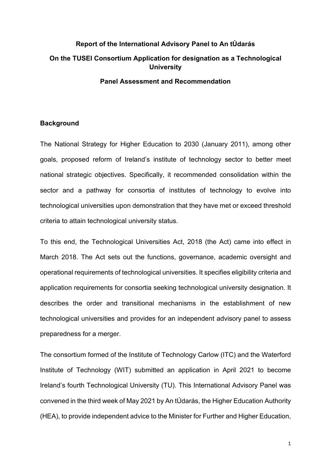# **Report of the International Advisory Panel to An tÚdarás On the TUSEI Consortium Application for designation as a Technological University**

#### **Panel Assessment and Recommendation**

#### **Background**

The National Strategy for Higher Education to 2030 (January 2011), among other goals, proposed reform of Ireland's institute of technology sector to better meet national strategic objectives. Specifically, it recommended consolidation within the sector and a pathway for consortia of institutes of technology to evolve into technological universities upon demonstration that they have met or exceed threshold criteria to attain technological university status.

To this end, the Technological Universities Act, 2018 (the Act) came into effect in March 2018. The Act sets out the functions, governance, academic oversight and operational requirements of technological universities. It specifies eligibility criteria and application requirements for consortia seeking technological university designation. It describes the order and transitional mechanisms in the establishment of new technological universities and provides for an independent advisory panel to assess preparedness for a merger.

The consortium formed of the Institute of Technology Carlow (ITC) and the Waterford Institute of Technology (WIT) submitted an application in April 2021 to become Ireland's fourth Technological University (TU). This International Advisory Panel was convened in the third week of May 2021 by An tÚdarás, the Higher Education Authority (HEA), to provide independent advice to the Minister for Further and Higher Education,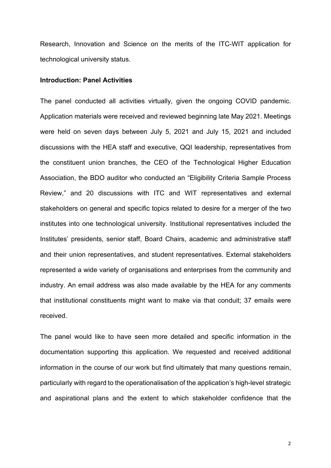Research, Innovation and Science on the merits of the ITC-WIT application for technological university status.

#### **Introduction: Panel Activities**

The panel conducted all activities virtually, given the ongoing COVID pandemic. Application materials were received and reviewed beginning late May 2021. Meetings were held on seven days between July 5, 2021 and July 15, 2021 and included discussions with the HEA staff and executive, QQI leadership, representatives from the constituent union branches, the CEO of the Technological Higher Education Association, the BDO auditor who conducted an "Eligibility Criteria Sample Process Review," and 20 discussions with ITC and WIT representatives and external stakeholders on general and specific topics related to desire for a merger of the two institutes into one technological university. Institutional representatives included the Institutes' presidents, senior staff, Board Chairs, academic and administrative staff and their union representatives, and student representatives. External stakeholders represented a wide variety of organisations and enterprises from the community and industry. An email address was also made available by the HEA for any comments that institutional constituents might want to make via that conduit; 37 emails were received.

The panel would like to have seen more detailed and specific information in the documentation supporting this application. We requested and received additional information in the course of our work but find ultimately that many questions remain, particularly with regard to the operationalisation of the application's high-level strategic and aspirational plans and the extent to which stakeholder confidence that the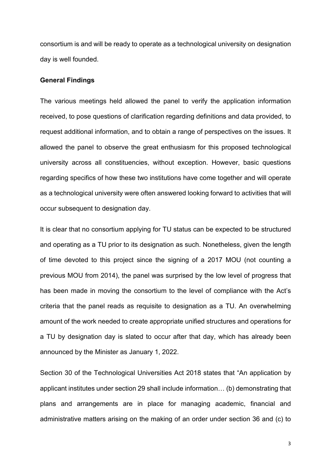consortium is and will be ready to operate as a technological university on designation day is well founded.

#### **General Findings**

The various meetings held allowed the panel to verify the application information received, to pose questions of clarification regarding definitions and data provided, to request additional information, and to obtain a range of perspectives on the issues. It allowed the panel to observe the great enthusiasm for this proposed technological university across all constituencies, without exception. However, basic questions regarding specifics of how these two institutions have come together and will operate as a technological university were often answered looking forward to activities that will occur subsequent to designation day.

It is clear that no consortium applying for TU status can be expected to be structured and operating as a TU prior to its designation as such. Nonetheless, given the length of time devoted to this project since the signing of a 2017 MOU (not counting a previous MOU from 2014), the panel was surprised by the low level of progress that has been made in moving the consortium to the level of compliance with the Act's criteria that the panel reads as requisite to designation as a TU. An overwhelming amount of the work needed to create appropriate unified structures and operations for a TU by designation day is slated to occur after that day, which has already been announced by the Minister as January 1, 2022.

Section 30 of the Technological Universities Act 2018 states that "An application by applicant institutes under section 29 shall include information… (b) demonstrating that plans and arrangements are in place for managing academic, financial and administrative matters arising on the making of an order under section 36 and (c) to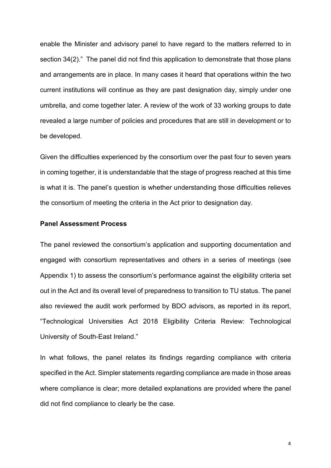enable the Minister and advisory panel to have regard to the matters referred to in section 34(2)." The panel did not find this application to demonstrate that those plans and arrangements are in place. In many cases it heard that operations within the two current institutions will continue as they are past designation day, simply under one umbrella, and come together later. A review of the work of 33 working groups to date revealed a large number of policies and procedures that are still in development or to be developed.

Given the difficulties experienced by the consortium over the past four to seven years in coming together, it is understandable that the stage of progress reached at this time is what it is. The panel's question is whether understanding those difficulties relieves the consortium of meeting the criteria in the Act prior to designation day.

#### **Panel Assessment Process**

The panel reviewed the consortium's application and supporting documentation and engaged with consortium representatives and others in a series of meetings (see Appendix 1) to assess the consortium's performance against the eligibility criteria set out in the Act and its overall level of preparedness to transition to TU status. The panel also reviewed the audit work performed by BDO advisors, as reported in its report, "Technological Universities Act 2018 Eligibility Criteria Review: Technological University of South-East Ireland."

In what follows, the panel relates its findings regarding compliance with criteria specified in the Act. Simpler statements regarding compliance are made in those areas where compliance is clear; more detailed explanations are provided where the panel did not find compliance to clearly be the case.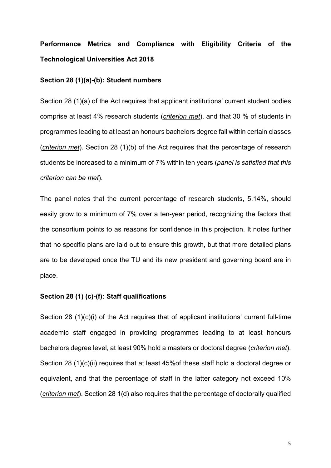## **Performance Metrics and Compliance with Eligibility Criteria of the Technological Universities Act 2018**

#### **Section 28 (1)(a)-(b): Student numbers**

Section 28 (1)(a) of the Act requires that applicant institutions' current student bodies comprise at least 4% research students (*criterion met*), and that 30 % of students in programmes leading to at least an honours bachelors degree fall within certain classes (*criterion met*). Section 28 (1)(b) of the Act requires that the percentage of research students be increased to a minimum of 7% within ten years (*panel is satisfied that this criterion can be met*).

The panel notes that the current percentage of research students, 5.14%, should easily grow to a minimum of 7% over a ten-year period, recognizing the factors that the consortium points to as reasons for confidence in this projection. It notes further that no specific plans are laid out to ensure this growth, but that more detailed plans are to be developed once the TU and its new president and governing board are in place.

#### **Section 28 (1) (c)-(f): Staff qualifications**

Section 28 (1)(c)(i) of the Act requires that of applicant institutions' current full-time academic staff engaged in providing programmes leading to at least honours bachelors degree level, at least 90% hold a masters or doctoral degree (*criterion met*). Section 28 (1)(c)(ii) requires that at least 45%of these staff hold a doctoral degree or equivalent, and that the percentage of staff in the latter category not exceed 10% (*criterion met*). Section 28 1(d) also requires that the percentage of doctorally qualified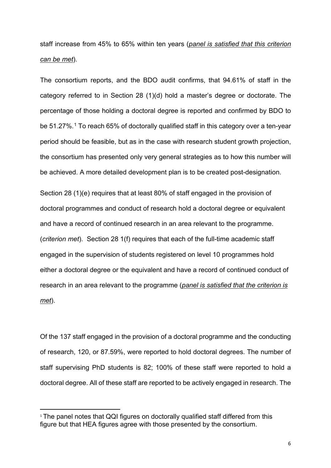staff increase from 45% to 65% within ten years (*panel is satisfied that this criterion can be met*).

The consortium reports, and the BDO audit confirms, that 94.61% of staff in the category referred to in Section 28 (1)(d) hold a master's degree or doctorate. The percentage of those holding a doctoral degree is reported and confirmed by BDO to be 51.27%.<sup>1</sup> To reach 65% of doctorally qualified staff in this category over a ten-year period should be feasible, but as in the case with research student growth projection, the consortium has presented only very general strategies as to how this number will be achieved. A more detailed development plan is to be created post-designation.

Section 28 (1)(e) requires that at least 80% of staff engaged in the provision of doctoral programmes and conduct of research hold a doctoral degree or equivalent and have a record of continued research in an area relevant to the programme. (*criterion met*). Section 28 1(f) requires that each of the full-time academic staff engaged in the supervision of students registered on level 10 programmes hold either a doctoral degree or the equivalent and have a record of continued conduct of research in an area relevant to the programme (*panel is satisfied that the criterion is met*).

Of the 137 staff engaged in the provision of a doctoral programme and the conducting of research, 120, or 87.59%, were reported to hold doctoral degrees. The number of staff supervising PhD students is 82; 100% of these staff were reported to hold a doctoral degree. All of these staff are reported to be actively engaged in research. The

<sup>&</sup>lt;sup>1</sup> The panel notes that QQI figures on doctorally qualified staff differed from this figure but that HEA figures agree with those presented by the consortium.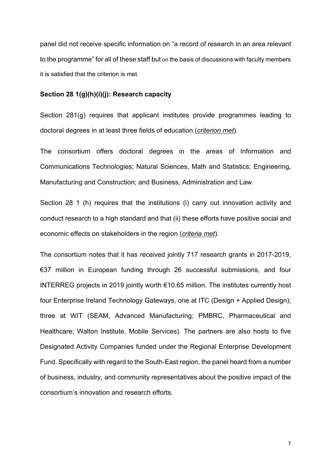panel did not receive specific information on "a record of research in an area relevant to the programme" for all of these staff but on the basis of discussions with faculty members it is satisfied that the criterion is met.

#### **Section 28 1(g)(h)(i)(j): Research capacity**

Section 281(g) requires that applicant institutes provide programmes leading to doctoral degrees in at least three fields of education (*criterion met*).

The consortium offers doctoral degrees in the areas of Information and Communications Technologies; Natural Sciences, Math and Statistics; Engineering, Manufacturing and Construction; and Business, Administration and Law.

Section 28 1 (h) requires that the institutions (i) carry out innovation activity and conduct research to a high standard and that (ii) these efforts have positive social and economic effects on stakeholders in the region (*criteria met*).

The consortium notes that it has received jointly 717 research grants in 2017-2019, €37 million in European funding through 26 successful submissions, and four INTERREG projects in 2019 jointly worth €10.65 million. The institutes currently host four Enterprise Ireland Technology Gateways, one at ITC (Design + Applied Design); three at WIT (SEAM, Advanced Manufacturing; PMBRC, Pharmaceutical and Healthcare; Walton Institute, Mobile Services). The partners are also hosts to five Designated Activity Companies funded under the Regional Enterprise Development Fund. Specifically with regard to the South-East region, the panel heard from a number of business, industry, and community representatives about the positive impact of the consortium's innovation and research efforts.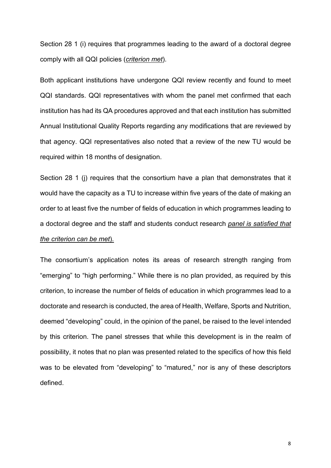Section 28 1 (i) requires that programmes leading to the award of a doctoral degree comply with all QQI policies (*criterion met*).

Both applicant institutions have undergone QQI review recently and found to meet QQI standards. QQI representatives with whom the panel met confirmed that each institution has had its QA procedures approved and that each institution has submitted Annual Institutional Quality Reports regarding any modifications that are reviewed by that agency. QQI representatives also noted that a review of the new TU would be required within 18 months of designation.

Section 28 1 (j) requires that the consortium have a plan that demonstrates that it would have the capacity as a TU to increase within five years of the date of making an order to at least five the number of fields of education in which programmes leading to a doctoral degree and the staff and students conduct research *panel is satisfied that the criterion can be met*).

The consortium's application notes its areas of research strength ranging from "emerging" to "high performing." While there is no plan provided, as required by this criterion, to increase the number of fields of education in which programmes lead to a doctorate and research is conducted, the area of Health, Welfare, Sports and Nutrition, deemed "developing" could, in the opinion of the panel, be raised to the level intended by this criterion. The panel stresses that while this development is in the realm of possibility, it notes that no plan was presented related to the specifics of how this field was to be elevated from "developing" to "matured," nor is any of these descriptors defined.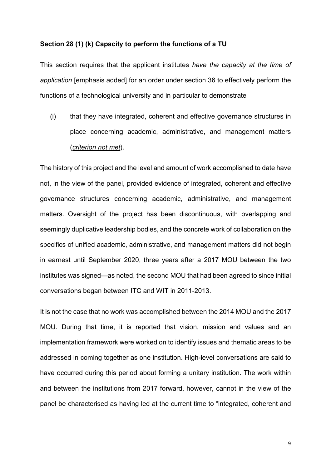#### **Section 28 (1) (k) Capacity to perform the functions of a TU**

This section requires that the applicant institutes *have the capacity at the time of application* [emphasis added] for an order under section 36 to effectively perform the functions of a technological university and in particular to demonstrate

(i) that they have integrated, coherent and effective governance structures in place concerning academic, administrative, and management matters (*criterion not met*).

The history of this project and the level and amount of work accomplished to date have not, in the view of the panel, provided evidence of integrated, coherent and effective governance structures concerning academic, administrative, and management matters. Oversight of the project has been discontinuous, with overlapping and seemingly duplicative leadership bodies, and the concrete work of collaboration on the specifics of unified academic, administrative, and management matters did not begin in earnest until September 2020, three years after a 2017 MOU between the two institutes was signed—as noted, the second MOU that had been agreed to since initial conversations began between ITC and WIT in 2011-2013.

It is not the case that no work was accomplished between the 2014 MOU and the 2017 MOU. During that time, it is reported that vision, mission and values and an implementation framework were worked on to identify issues and thematic areas to be addressed in coming together as one institution. High-level conversations are said to have occurred during this period about forming a unitary institution. The work within and between the institutions from 2017 forward, however, cannot in the view of the panel be characterised as having led at the current time to "integrated, coherent and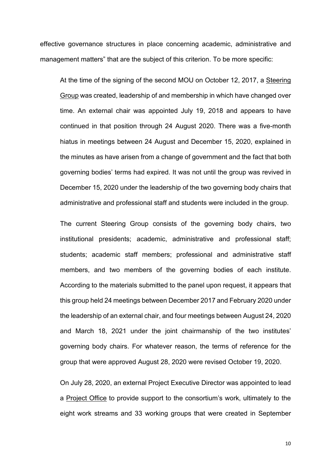effective governance structures in place concerning academic, administrative and management matters" that are the subject of this criterion. To be more specific:

At the time of the signing of the second MOU on October 12, 2017, a Steering Group was created, leadership of and membership in which have changed over time. An external chair was appointed July 19, 2018 and appears to have continued in that position through 24 August 2020. There was a five-month hiatus in meetings between 24 August and December 15, 2020, explained in the minutes as have arisen from a change of government and the fact that both governing bodies' terms had expired. It was not until the group was revived in December 15, 2020 under the leadership of the two governing body chairs that administrative and professional staff and students were included in the group.

The current Steering Group consists of the governing body chairs, two institutional presidents; academic, administrative and professional staff; students; academic staff members; professional and administrative staff members, and two members of the governing bodies of each institute. According to the materials submitted to the panel upon request, it appears that this group held 24 meetings between December 2017 and February 2020 under the leadership of an external chair, and four meetings between August 24, 2020 and March 18, 2021 under the joint chairmanship of the two institutes' governing body chairs. For whatever reason, the terms of reference for the group that were approved August 28, 2020 were revised October 19, 2020.

On July 28, 2020, an external Project Executive Director was appointed to lead a Project Office to provide support to the consortium's work, ultimately to the eight work streams and 33 working groups that were created in September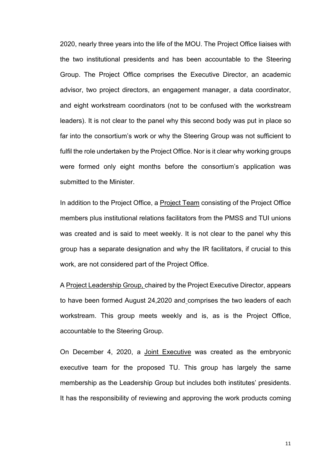2020, nearly three years into the life of the MOU. The Project Office liaises with the two institutional presidents and has been accountable to the Steering Group. The Project Office comprises the Executive Director, an academic advisor, two project directors, an engagement manager, a data coordinator, and eight workstream coordinators (not to be confused with the workstream leaders). It is not clear to the panel why this second body was put in place so far into the consortium's work or why the Steering Group was not sufficient to fulfil the role undertaken by the Project Office. Nor is it clear why working groups were formed only eight months before the consortium's application was submitted to the Minister.

In addition to the Project Office, a Project Team consisting of the Project Office members plus institutional relations facilitators from the PMSS and TUI unions was created and is said to meet weekly. It is not clear to the panel why this group has a separate designation and why the IR facilitators, if crucial to this work, are not considered part of the Project Office.

A Project Leadership Group, chaired by the Project Executive Director, appears to have been formed August 24,2020 and comprises the two leaders of each workstream. This group meets weekly and is, as is the Project Office, accountable to the Steering Group.

On December 4, 2020, a Joint Executive was created as the embryonic executive team for the proposed TU. This group has largely the same membership as the Leadership Group but includes both institutes' presidents. It has the responsibility of reviewing and approving the work products coming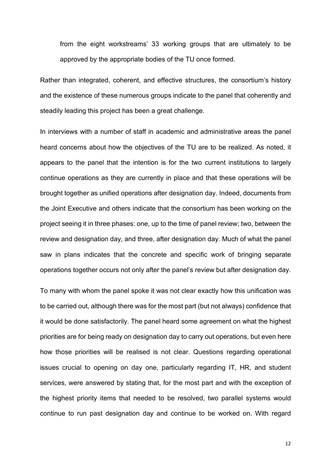from the eight workstreams' 33 working groups that are ultimately to be approved by the appropriate bodies of the TU once formed.

Rather than integrated, coherent, and effective structures, the consortium's history and the existence of these numerous groups indicate to the panel that coherently and steadily leading this project has been a great challenge.

In interviews with a number of staff in academic and administrative areas the panel heard concerns about how the objectives of the TU are to be realized. As noted, it appears to the panel that the intention is for the two current institutions to largely continue operations as they are currently in place and that these operations will be brought together as unified operations after designation day. Indeed, documents from the Joint Executive and others indicate that the consortium has been working on the project seeing it in three phases: one, up to the time of panel review; two, between the review and designation day, and three, after designation day. Much of what the panel saw in plans indicates that the concrete and specific work of bringing separate operations together occurs not only after the panel's review but after designation day.

To many with whom the panel spoke it was not clear exactly how this unification was to be carried out, although there was for the most part (but not always) confidence that it would be done satisfactorily. The panel heard some agreement on what the highest priorities are for being ready on designation day to carry out operations, but even here how those priorities will be realised is not clear. Questions regarding operational issues crucial to opening on day one, particularly regarding IT, HR, and student services, were answered by stating that, for the most part and with the exception of the highest priority items that needed to be resolved, two parallel systems would continue to run past designation day and continue to be worked on. With regard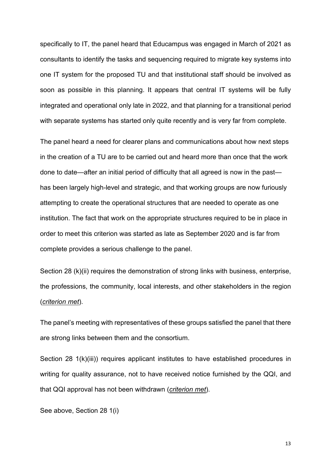specifically to IT, the panel heard that Educampus was engaged in March of 2021 as consultants to identify the tasks and sequencing required to migrate key systems into one IT system for the proposed TU and that institutional staff should be involved as soon as possible in this planning. It appears that central IT systems will be fully integrated and operational only late in 2022, and that planning for a transitional period with separate systems has started only quite recently and is very far from complete.

The panel heard a need for clearer plans and communications about how next steps in the creation of a TU are to be carried out and heard more than once that the work done to date—after an initial period of difficulty that all agreed is now in the past has been largely high-level and strategic, and that working groups are now furiously attempting to create the operational structures that are needed to operate as one institution. The fact that work on the appropriate structures required to be in place in order to meet this criterion was started as late as September 2020 and is far from complete provides a serious challenge to the panel.

Section 28 (k)(ii) requires the demonstration of strong links with business, enterprise, the professions, the community, local interests, and other stakeholders in the region (*criterion met*).

The panel's meeting with representatives of these groups satisfied the panel that there are strong links between them and the consortium.

Section 28 1(k)(iii)) requires applicant institutes to have established procedures in writing for quality assurance, not to have received notice furnished by the QQI, and that QQI approval has not been withdrawn (*criterion met*).

See above, Section 28 1(i)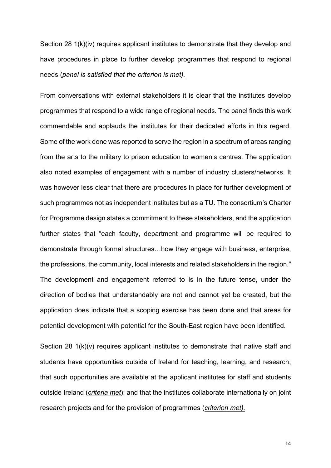Section 28 1(k)(iv) requires applicant institutes to demonstrate that they develop and have procedures in place to further develop programmes that respond to regional needs (*panel is satisfied that the criterion is met).*

From conversations with external stakeholders it is clear that the institutes develop programmes that respond to a wide range of regional needs. The panel finds this work commendable and applauds the institutes for their dedicated efforts in this regard. Some of the work done was reported to serve the region in a spectrum of areas ranging from the arts to the military to prison education to women's centres. The application also noted examples of engagement with a number of industry clusters/networks. It was however less clear that there are procedures in place for further development of such programmes not as independent institutes but as a TU. The consortium's Charter for Programme design states a commitment to these stakeholders, and the application further states that "each faculty, department and programme will be required to demonstrate through formal structures…how they engage with business, enterprise, the professions, the community, local interests and related stakeholders in the region." The development and engagement referred to is in the future tense, under the direction of bodies that understandably are not and cannot yet be created, but the application does indicate that a scoping exercise has been done and that areas for potential development with potential for the South-East region have been identified.

Section 28 1(k)(v) requires applicant institutes to demonstrate that native staff and students have opportunities outside of Ireland for teaching, learning, and research; that such opportunities are available at the applicant institutes for staff and students outside Ireland (*criteria met*); and that the institutes collaborate internationally on joint research projects and for the provision of programmes (*criterion met).*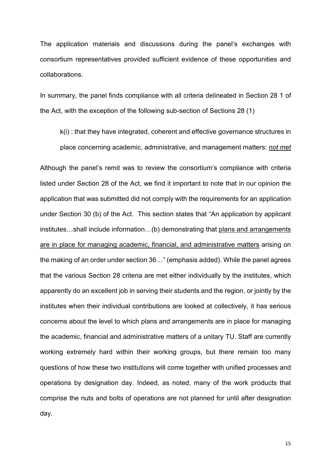The application materials and discussions during the panel's exchanges with consortium representatives provided sufficient evidence of these opportunities and collaborations.

In summary, the panel finds compliance with all criteria delineated in Section 28 1 of the Act, with the exception of the following sub-section of Sections 28 (1)

k(i) : that they have integrated, coherent and effective governance structures in place concerning academic, administrative, and management matters: *not met*

Although the panel's remit was to review the consortium's compliance with criteria listed under Section 28 of the Act, we find it important to note that in our opinion the application that was submitted did not comply with the requirements for an application under Section 30 (b) of the Act. This section states that "An application by applicant institutes...shall include information...(b) demonstrating that plans and arrangements are in place for managing academic, financial, and administrative matters arising on the making of an order under section 36…" (emphasis added). While the panel agrees that the various Section 28 criteria are met either individually by the institutes, which apparently do an excellent job in serving their students and the region, or jointly by the institutes when their individual contributions are looked at collectively, it has serious concerns about the level to which plans and arrangements are in place for managing the academic, financial and administrative matters of a unitary TU. Staff are currently working extremely hard within their working groups, but there remain too many questions of how these two institutions will come together with unified processes and operations by designation day. Indeed, as noted, many of the work products that comprise the nuts and bolts of operations are not planned for until after designation day.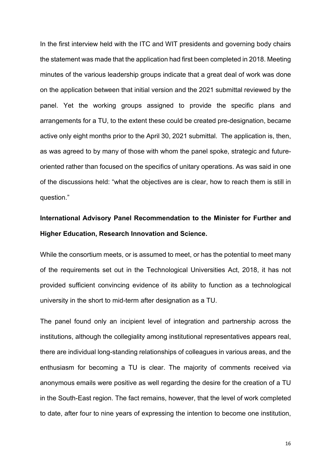In the first interview held with the ITC and WIT presidents and governing body chairs the statement was made that the application had first been completed in 2018. Meeting minutes of the various leadership groups indicate that a great deal of work was done on the application between that initial version and the 2021 submittal reviewed by the panel. Yet the working groups assigned to provide the specific plans and arrangements for a TU, to the extent these could be created pre-designation, became active only eight months prior to the April 30, 2021 submittal. The application is, then, as was agreed to by many of those with whom the panel spoke, strategic and futureoriented rather than focused on the specifics of unitary operations. As was said in one of the discussions held: "what the objectives are is clear, how to reach them is still in question."

### **International Advisory Panel Recommendation to the Minister for Further and Higher Education, Research Innovation and Science.**

While the consortium meets, or is assumed to meet, or has the potential to meet many of the requirements set out in the Technological Universities Act, 2018, it has not provided sufficient convincing evidence of its ability to function as a technological university in the short to mid-term after designation as a TU.

The panel found only an incipient level of integration and partnership across the institutions, although the collegiality among institutional representatives appears real, there are individual long-standing relationships of colleagues in various areas, and the enthusiasm for becoming a TU is clear. The majority of comments received via anonymous emails were positive as well regarding the desire for the creation of a TU in the South-East region. The fact remains, however, that the level of work completed to date, after four to nine years of expressing the intention to become one institution,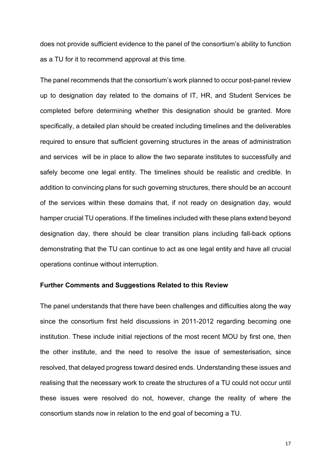does not provide sufficient evidence to the panel of the consortium's ability to function as a TU for it to recommend approval at this time.

The panel recommends that the consortium's work planned to occur post-panel review up to designation day related to the domains of IT, HR, and Student Services be completed before determining whether this designation should be granted. More specifically, a detailed plan should be created including timelines and the deliverables required to ensure that sufficient governing structures in the areas of administration and services will be in place to allow the two separate institutes to successfully and safely become one legal entity. The timelines should be realistic and credible. In addition to convincing plans for such governing structures, there should be an account of the services within these domains that, if not ready on designation day, would hamper crucial TU operations. If the timelines included with these plans extend beyond designation day, there should be clear transition plans including fall-back options demonstrating that the TU can continue to act as one legal entity and have all crucial operations continue without interruption.

#### **Further Comments and Suggestions Related to this Review**

The panel understands that there have been challenges and difficulties along the way since the consortium first held discussions in 2011-2012 regarding becoming one institution. These include initial rejections of the most recent MOU by first one, then the other institute, and the need to resolve the issue of semesterisation, since resolved, that delayed progress toward desired ends. Understanding these issues and realising that the necessary work to create the structures of a TU could not occur until these issues were resolved do not, however, change the reality of where the consortium stands now in relation to the end goal of becoming a TU.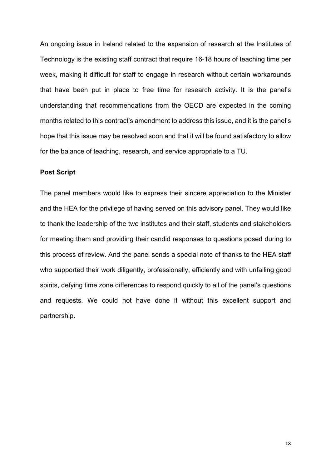An ongoing issue in Ireland related to the expansion of research at the Institutes of Technology is the existing staff contract that require 16-18 hours of teaching time per week, making it difficult for staff to engage in research without certain workarounds that have been put in place to free time for research activity. It is the panel's understanding that recommendations from the OECD are expected in the coming months related to this contract's amendment to address this issue, and it is the panel's hope that this issue may be resolved soon and that it will be found satisfactory to allow for the balance of teaching, research, and service appropriate to a TU.

#### **Post Script**

The panel members would like to express their sincere appreciation to the Minister and the HEA for the privilege of having served on this advisory panel. They would like to thank the leadership of the two institutes and their staff, students and stakeholders for meeting them and providing their candid responses to questions posed during to this process of review. And the panel sends a special note of thanks to the HEA staff who supported their work diligently, professionally, efficiently and with unfailing good spirits, defying time zone differences to respond quickly to all of the panel's questions and requests. We could not have done it without this excellent support and partnership.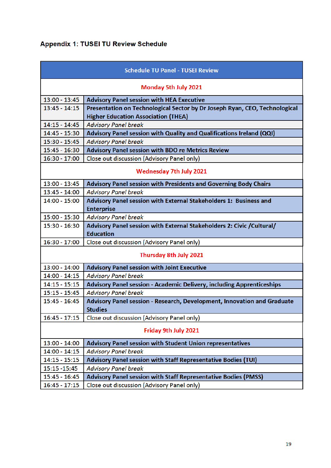### **Appendix 1: TUSEI TU Review Schedule**

| <b>Schedule TU Panel - TUSEI Review</b> |                                                                              |
|-----------------------------------------|------------------------------------------------------------------------------|
| <b>Monday 5th July 2021</b>             |                                                                              |
| $13:00 - 13:45$                         | <b>Advisory Panel session with HEA Executive</b>                             |
| $13:45 - 14:15$                         | Presentation on Technological Sector by Dr Joseph Ryan, CEO, Technological   |
|                                         | <b>Higher Education Association (THEA)</b>                                   |
| $14:15 - 14:45$                         | <b>Advisory Panel break</b>                                                  |
| 14:45 - 15:30                           | Advisory Panel session with Quality and Qualifications Ireland (QQI)         |
| 15:30 - 15:45                           | <b>Advisory Panel break</b>                                                  |
| $15:45 - 16:30$                         | <b>Advisory Panel session with BDO re Metrics Review</b>                     |
| $16:30 - 17:00$                         | Close out discussion (Advisory Panel only)                                   |
| <b>Wednesday 7th July 2021</b>          |                                                                              |
| $13:00 - 13:45$                         | Advisory Panel session with Presidents and Governing Body Chairs             |
| $13:45 - 14:00$                         | <b>Advisory Panel break</b>                                                  |
| $14:00 - 15:00$                         | Advisory Panel session with External Stakeholders 1: Business and            |
|                                         | <b>Enterprise</b>                                                            |
| 15:00 - 15:30                           | <b>Advisory Panel break</b>                                                  |
| 15:30 - 16:30                           | Advisory Panel session with External Stakeholders 2: Civic / Cultural/       |
|                                         | <b>Education</b>                                                             |
| $16:30 - 17:00$                         | Close out discussion (Advisory Panel only)                                   |
| Thursday 8th July 2021                  |                                                                              |
| $13:00 - 14:00$                         | <b>Advisory Panel session with Joint Executive</b>                           |
| $14:00 - 14:15$                         | <b>Advisory Panel break</b>                                                  |
| $14:15 - 15:15$                         | <b>Advisory Panel session - Academic Delivery, including Apprenticeships</b> |
| $15:15 - 15:45$                         | <b>Advisory Panel break</b>                                                  |
| $15:45 - 16:45$                         | Advisory Panel session - Research, Development, Innovation and Graduate      |
|                                         | <b>Studies</b>                                                               |
| $16:45 - 17:15$                         | Close out discussion (Advisory Panel only)                                   |
| Friday 9th July 2021                    |                                                                              |
| 13:00 - 14:00                           | <b>Advisory Panel session with Student Union representatives</b>             |
| $14:00 - 14:15$                         | <b>Advisory Panel break</b>                                                  |
| $14:15 - 15:15$                         | Advisory Panel session with Staff Representative Bodies (TUI)                |
| 15:15 - 15:45                           | <b>Advisory Panel break</b>                                                  |
| $15:45 - 16:45$                         | Advisory Panel session with Staff Representative Bodies (PMSS)               |
| $16:45 - 17:15$                         | Close out discussion (Advisory Panel only)                                   |